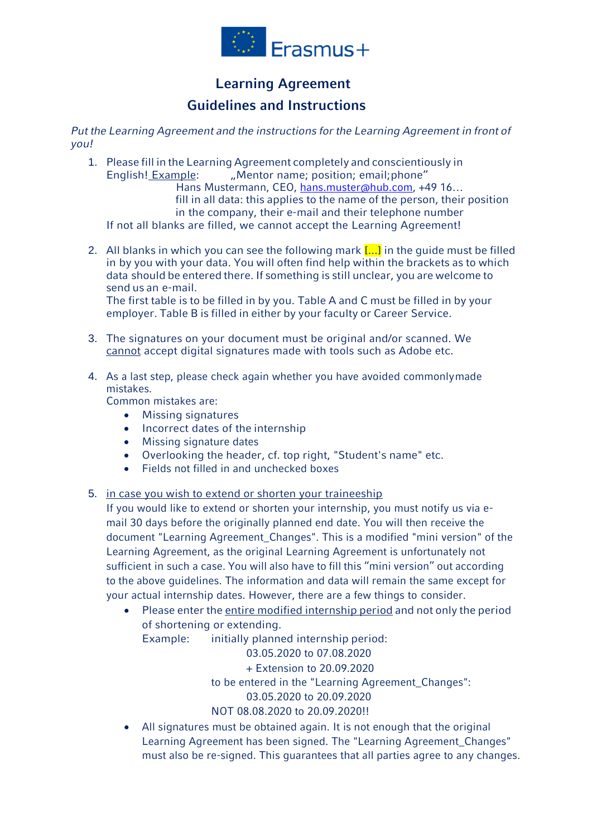

# **Learning Agreement**

## **Guidelines and Instructions**

*Put the Learning Agreement and the instructions forthe Learning Agreement in front of you!*

- 1. Please fill in the Learning Agreement completely and conscientiously in English! Example: "Mentor name; position; email; phone" Hans Mustermann, CEO, [hans.muster@hub.com](mailto:hans.muster@hub.com), +49 16... fill in all data: this applies to the name of the person, their position in the company, their e-mail and their telephone number If not all blanks are filled, we cannot accept the Learning Agreement!
- 2. All blanks in which you can see the following mark  $\left[\ldots\right]$  in the quide must be filled in by you with your data. You will often find help within the brackets as to which data should be entered there. If something is still unclear, you are welcome to send us an e-mail. The first table is to be filled in by you. Table A and C must be filled in by your employer. Table B is filled in either by your faculty or Career Service.
- 3. The signatures on your document must be original and/or scanned. We cannot accept digital signatures made with tools such as Adobe etc.
- 4. As a last step, please check again whether you have avoided commonlymade mistakes.

Common mistakes are:

- Missing signatures
- Incorrect dates of the internship
- Missing signature dates
- Overlooking the header, cf. top right, "Student's name" etc.
- Fields not filled in and unchecked boxes

#### 5. in case you wish to extend or shorten your traineeship

If you would like to extend or shorten your internship, you must notify us via email 30 days before the originally planned end date. You will then receive the document "Learning Agreement\_Changes". This is a modified "mini version" of the Learning Agreement, as the original Learning Agreement is unfortunately not sufficient in such a case. You will also have to fill this "mini version" out according to the above guidelines. The information and data will remain the same except for your actual internship dates. However, there are a few things to consider.

• Please enter the entire modified internship period and not only the period of shortening or extending.

Example: initially planned internship period:

03.05.2020 to 07.08.2020

+ Extension to 20.09.2020

to be entered in the "Learning Agreement\_Changes": 03.05.2020 to 20.09.2020

NOT 08.08.2020 to 20.09.2020!!

• All signatures must be obtained again. It is not enough that the original Learning Agreement has been signed. The "Learning Agreement\_Changes" must also be re-signed. This guarantees that all parties agree to any changes.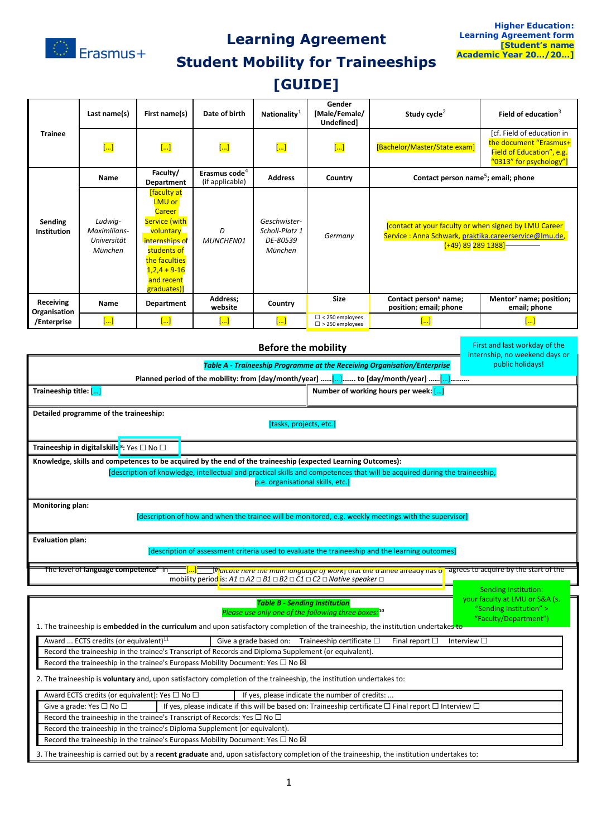

## **Learning Agreement**

"Faculty/Department")

# **Student Mobility for Traineeships**

# **[GUIDE]**

| <b>Trainee</b>                           | Last name(s)                                      | First name(s)                                                                                                                                                                     | Date of birth                                | Nationality $1$                                       | Gender<br>[Male/Female/<br>Undefined]            | Study cycle <sup>2</sup>                                                                                                                     | Field of education $3$                                                                                       |  |
|------------------------------------------|---------------------------------------------------|-----------------------------------------------------------------------------------------------------------------------------------------------------------------------------------|----------------------------------------------|-------------------------------------------------------|--------------------------------------------------|----------------------------------------------------------------------------------------------------------------------------------------------|--------------------------------------------------------------------------------------------------------------|--|
|                                          | $\left[\ldots\right]$                             | $\overline{[]}$                                                                                                                                                                   | $\overline{[]}$                              | $\left[\ldots\right]$                                 | $\overline{[]}$                                  | [Bachelor/Master/State exam]                                                                                                                 | [cf. Field of education in<br>the document "Erasmus+<br>Field of Education", e.g.<br>"0313" for psychology"] |  |
|                                          | Name                                              | Faculty/<br>Department                                                                                                                                                            | Erasmus code <sup>4</sup><br>(if applicable) | <b>Address</b>                                        | Country                                          | Contact person name <sup>5</sup> ; email; phone                                                                                              |                                                                                                              |  |
| Sending<br>Institution                   | Ludwig-<br>Maximilians-<br>Universität<br>München | <b>faculty at</b><br><b>LMU or</b><br><b>Career</b><br>Service (with<br>voluntary.<br>internships of<br>students of<br>the faculties<br>$1,2,4+9-16$<br>and recent<br>graduates)] | D<br>MUNCHEN01                               | Geschwister-<br>Scholl-Platz 1<br>DE-80539<br>München | Germany                                          | <b>Contact at your faculty or when signed by LMU Career</b><br>Service: Anna Schwark, praktika.careerservice@lmu.de,<br>$(+49)$ 89 289 1388] |                                                                                                              |  |
| Receiving<br>Organisation<br>/Enterprise | Name                                              | Department                                                                                                                                                                        | Address;<br>website                          | Country                                               | <b>Size</b>                                      | Contact person <sup>6</sup> name;<br>position; email; phone                                                                                  | Mentor <sup>7</sup> name; position;<br>email; phone                                                          |  |
|                                          | []                                                | []                                                                                                                                                                                | []                                           | []                                                    | $\Box$ < 250 employees<br>$\Box$ > 250 employees | []                                                                                                                                           | <u> </u>                                                                                                     |  |

|                                                                                                                                                                     | First and last workday of the<br>internship, no weekend days or                                                  |                                                                                                                               |                                                           |  |  |  |  |
|---------------------------------------------------------------------------------------------------------------------------------------------------------------------|------------------------------------------------------------------------------------------------------------------|-------------------------------------------------------------------------------------------------------------------------------|-----------------------------------------------------------|--|--|--|--|
|                                                                                                                                                                     | public holidays!                                                                                                 |                                                                                                                               |                                                           |  |  |  |  |
| <b>Table A - Traineeship Programme at the Receiving Organisation/Enterprise</b><br>Planned period of the mobility: from [day/month/year] []  to [day/month/year] [] |                                                                                                                  |                                                                                                                               |                                                           |  |  |  |  |
| Traineeship title: []                                                                                                                                               |                                                                                                                  | Number of working hours per week: []                                                                                          |                                                           |  |  |  |  |
| Detailed programme of the traineeship:                                                                                                                              |                                                                                                                  |                                                                                                                               |                                                           |  |  |  |  |
| [tasks, projects, etc.]                                                                                                                                             |                                                                                                                  |                                                                                                                               |                                                           |  |  |  |  |
|                                                                                                                                                                     |                                                                                                                  |                                                                                                                               |                                                           |  |  |  |  |
| <b>Traineeship in digital skills</b> <sup>8</sup> ; Yes $\Box$ No $\Box$                                                                                            |                                                                                                                  |                                                                                                                               |                                                           |  |  |  |  |
| Knowledge, skills and competences to be acquired by the end of the traineeship (expected Learning Outcomes):                                                        |                                                                                                                  |                                                                                                                               |                                                           |  |  |  |  |
|                                                                                                                                                                     |                                                                                                                  | [description of knowledge, intellectual and practical skills and competences that will be acquired during the traineeship,    |                                                           |  |  |  |  |
|                                                                                                                                                                     | p.e. organisational skills, etc.]                                                                                |                                                                                                                               |                                                           |  |  |  |  |
| Monitoring plan:                                                                                                                                                    |                                                                                                                  |                                                                                                                               |                                                           |  |  |  |  |
| [description of how and when the trainee will be monitored, e.g. weekly meetings with the supervisor]                                                               |                                                                                                                  |                                                                                                                               |                                                           |  |  |  |  |
|                                                                                                                                                                     |                                                                                                                  |                                                                                                                               |                                                           |  |  |  |  |
| <b>Evaluation plan:</b>                                                                                                                                             |                                                                                                                  |                                                                                                                               |                                                           |  |  |  |  |
| [description of assessment criteria used to evaluate the traineeship and the learning outcomes]                                                                     |                                                                                                                  |                                                                                                                               |                                                           |  |  |  |  |
| The level of language competence <sup>9</sup> in                                                                                                                    |                                                                                                                  | L <sup>in</sup> laicate nere the main language of work] that the trainee aiready has of agrees to acquire by the start of the |                                                           |  |  |  |  |
|                                                                                                                                                                     | mobility period is: $A1 \square A2 \square B1 \square B2 \square C1 \square C2 \square$ Native speaker $\square$ |                                                                                                                               |                                                           |  |  |  |  |
|                                                                                                                                                                     |                                                                                                                  |                                                                                                                               | <b>Sending Institution:</b>                               |  |  |  |  |
|                                                                                                                                                                     | <b>Table B - Sending Institution</b><br>Please use only one of the following three boxes: <sup>10</sup>          |                                                                                                                               | your faculty at LMU or S&A (s.<br>"Sending Institution" > |  |  |  |  |
|                                                                                                                                                                     |                                                                                                                  |                                                                                                                               |                                                           |  |  |  |  |

1. The traineeship is **embedded in the curriculum** and upon satisfactory completion of the traineeship, the institution undertakes to

Award ... ECTS credits (or equivalent)<sup>[11](#page-3-10)</sup> Give a grade based on: Traineeship certificate □ Final report □ Interview □ Record the traineeship in the trainee's Transcript of Records and Diploma Supplement (or equivalent).

Record the traineeship in the trainee's Europass Mobility Document: Yes  $\Box$  No  $\boxtimes$ 

2. The traineeship is **voluntary** and, upon satisfactory completion of the traineeship, the institution undertakes to:

Award ECTS credits (or equivalent): Yes □ No □ If yes, please indicate the number of credits: Give a grade: Yes □ No □ If yes, please indicate if this will be based on: Traineeship certificate □ Final report □ Interview □

Record the traineeship in the trainee's Transcript of Records: Yes  $\Box$  No  $\Box$ 

Record the traineeship in the trainee's Diploma Supplement (or equivalent).

Record the traineeship in the trainee's Europass Mobility Document: Yes  $\Box$  No  $\boxtimes$ 

3. The traineeship is carried out by a **recent graduate** and, upon satisfactory completion of the traineeship, the institution undertakes to: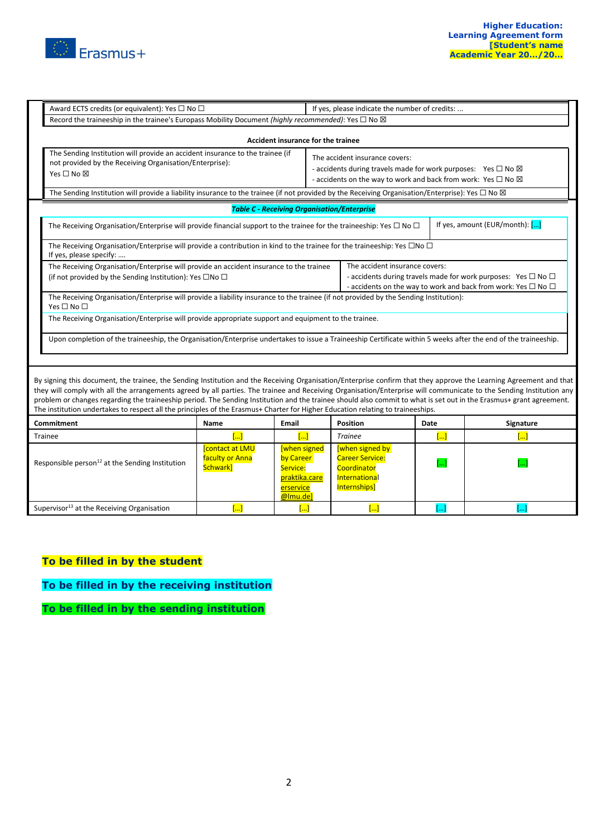

|                                                                                                                                                                                                                                                                                                                                                                                                                                                                                                                                                                                                                                                     | Award ECTS credits (or equivalent): Yes □ No □                                                                                                                         |                                                                                                                    |                                                                                                                                                                                                  | If yes, please indicate the number of credits:                                                                                                                                                 |  |                       |           |  |
|-----------------------------------------------------------------------------------------------------------------------------------------------------------------------------------------------------------------------------------------------------------------------------------------------------------------------------------------------------------------------------------------------------------------------------------------------------------------------------------------------------------------------------------------------------------------------------------------------------------------------------------------------------|------------------------------------------------------------------------------------------------------------------------------------------------------------------------|--------------------------------------------------------------------------------------------------------------------|--------------------------------------------------------------------------------------------------------------------------------------------------------------------------------------------------|------------------------------------------------------------------------------------------------------------------------------------------------------------------------------------------------|--|-----------------------|-----------|--|
|                                                                                                                                                                                                                                                                                                                                                                                                                                                                                                                                                                                                                                                     |                                                                                                                                                                        | Record the traineeship in the trainee's Europass Mobility Document (highly recommended): Yes $\Box$ No $\boxtimes$ |                                                                                                                                                                                                  |                                                                                                                                                                                                |  |                       |           |  |
| Accident insurance for the trainee                                                                                                                                                                                                                                                                                                                                                                                                                                                                                                                                                                                                                  |                                                                                                                                                                        |                                                                                                                    |                                                                                                                                                                                                  |                                                                                                                                                                                                |  |                       |           |  |
|                                                                                                                                                                                                                                                                                                                                                                                                                                                                                                                                                                                                                                                     | The Sending Institution will provide an accident insurance to the trainee (if<br>not provided by the Receiving Organisation/Enterprise):<br>Yes $\square$ No $\square$ |                                                                                                                    |                                                                                                                                                                                                  | The accident insurance covers:<br>- accidents during travels made for work purposes: Yes $\Box$ No $\boxtimes$<br>- accidents on the way to work and back from work: Yes $\Box$ No $\boxtimes$ |  |                       |           |  |
|                                                                                                                                                                                                                                                                                                                                                                                                                                                                                                                                                                                                                                                     | The Sending Institution will provide a liability insurance to the trainee (if not provided by the Receiving Organisation/Enterprise): Yes $\Box$ No $\boxtimes$        |                                                                                                                    |                                                                                                                                                                                                  |                                                                                                                                                                                                |  |                       |           |  |
| <b>Table C - Receiving Organisation/Enterprise</b>                                                                                                                                                                                                                                                                                                                                                                                                                                                                                                                                                                                                  |                                                                                                                                                                        |                                                                                                                    |                                                                                                                                                                                                  |                                                                                                                                                                                                |  |                       |           |  |
|                                                                                                                                                                                                                                                                                                                                                                                                                                                                                                                                                                                                                                                     | If yes, amount (EUR/month): $[]$<br>The Receiving Organisation/Enterprise will provide financial support to the trainee for the traineeship: Yes $\Box$ No $\Box$      |                                                                                                                    |                                                                                                                                                                                                  |                                                                                                                                                                                                |  |                       |           |  |
|                                                                                                                                                                                                                                                                                                                                                                                                                                                                                                                                                                                                                                                     | The Receiving Organisation/Enterprise will provide a contribution in kind to the trainee for the traineeship: Yes $\Box$ No $\Box$<br>If yes, please specify:          |                                                                                                                    |                                                                                                                                                                                                  |                                                                                                                                                                                                |  |                       |           |  |
|                                                                                                                                                                                                                                                                                                                                                                                                                                                                                                                                                                                                                                                     | The Receiving Organisation/Enterprise will provide an accident insurance to the trainee<br>(if not provided by the Sending Institution): Yes $\square$ No $\square$    |                                                                                                                    | The accident insurance covers:<br>- accidents during travels made for work purposes: Yes $\square$ No $\square$<br>- accidents on the way to work and back from work: Yes $\square$ No $\square$ |                                                                                                                                                                                                |  |                       |           |  |
|                                                                                                                                                                                                                                                                                                                                                                                                                                                                                                                                                                                                                                                     | The Receiving Organisation/Enterprise will provide a liability insurance to the trainee (if not provided by the Sending Institution):<br>Yes $\square$ No $\square$    |                                                                                                                    |                                                                                                                                                                                                  |                                                                                                                                                                                                |  |                       |           |  |
|                                                                                                                                                                                                                                                                                                                                                                                                                                                                                                                                                                                                                                                     | The Receiving Organisation/Enterprise will provide appropriate support and equipment to the trainee.                                                                   |                                                                                                                    |                                                                                                                                                                                                  |                                                                                                                                                                                                |  |                       |           |  |
| Upon completion of the traineeship, the Organisation/Enterprise undertakes to issue a Traineeship Certificate within 5 weeks after the end of the traineeship.                                                                                                                                                                                                                                                                                                                                                                                                                                                                                      |                                                                                                                                                                        |                                                                                                                    |                                                                                                                                                                                                  |                                                                                                                                                                                                |  |                       |           |  |
|                                                                                                                                                                                                                                                                                                                                                                                                                                                                                                                                                                                                                                                     |                                                                                                                                                                        |                                                                                                                    |                                                                                                                                                                                                  |                                                                                                                                                                                                |  |                       |           |  |
| By signing this document, the trainee, the Sending Institution and the Receiving Organisation/Enterprise confirm that they approve the Learning Agreement and that<br>they will comply with all the arrangements agreed by all parties. The trainee and Receiving Organisation/Enterprise will communicate to the Sending Institution any<br>problem or changes regarding the traineeship period. The Sending Institution and the trainee should also commit to what is set out in the Erasmus+ grant agreement.<br>The institution undertakes to respect all the principles of the Erasmus+ Charter for Higher Education relating to traineeships. |                                                                                                                                                                        |                                                                                                                    |                                                                                                                                                                                                  |                                                                                                                                                                                                |  |                       |           |  |
| <b>Commitment</b>                                                                                                                                                                                                                                                                                                                                                                                                                                                                                                                                                                                                                                   |                                                                                                                                                                        | Name                                                                                                               | <b>Email</b>                                                                                                                                                                                     | <b>Position</b>                                                                                                                                                                                |  | Date                  | Signature |  |
| Trainee                                                                                                                                                                                                                                                                                                                                                                                                                                                                                                                                                                                                                                             |                                                                                                                                                                        | $\overline{[]}$                                                                                                    | $\left[\ldots\right]$                                                                                                                                                                            | <b>Trainee</b>                                                                                                                                                                                 |  | $\lceil  \rceil$      | 1         |  |
| Responsible person <sup>12</sup> at the Sending Institution                                                                                                                                                                                                                                                                                                                                                                                                                                                                                                                                                                                         |                                                                                                                                                                        | <b>Contact at LMU</b><br>faculty or Anna<br>Schwark]                                                               | [when signed<br>by Career<br>Service:<br>praktika.care<br>erservice<br>@lmu.de]                                                                                                                  | <b>When signed by</b><br><b>Career Service:</b><br>Coordinator<br>International<br>Internships]                                                                                                |  |                       |           |  |
| Supervisor <sup>13</sup> at the Receiving Organisation                                                                                                                                                                                                                                                                                                                                                                                                                                                                                                                                                                                              |                                                                                                                                                                        | $\lceil  \rceil$                                                                                                   | $\left[\ldots\right]$                                                                                                                                                                            | $\left[\ldots\right]$                                                                                                                                                                          |  | $\left[\ldots\right]$ | L.        |  |

### **To be filled in by the student**

**To be filled in by the receiving institution**

**To be filled in by the sending institution**